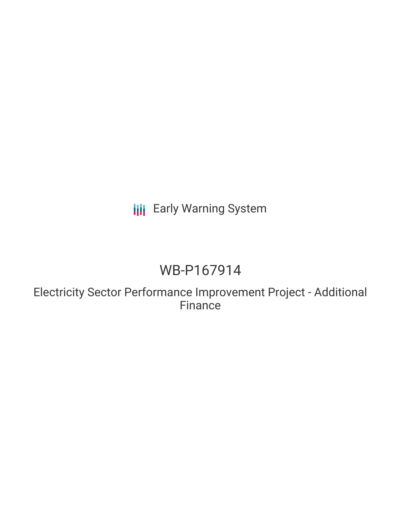## **III** Early Warning System

# WB-P167914

Electricity Sector Performance Improvement Project - Additional **Finance**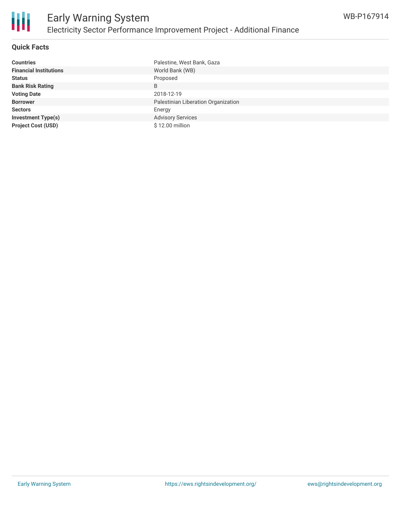

#### **Quick Facts**

| <b>Countries</b>              | Palestine, West Bank, Gaza          |
|-------------------------------|-------------------------------------|
| <b>Financial Institutions</b> | World Bank (WB)                     |
| <b>Status</b>                 | Proposed                            |
| <b>Bank Risk Rating</b>       | B                                   |
| <b>Voting Date</b>            | 2018-12-19                          |
| <b>Borrower</b>               | Palestinian Liberation Organization |
| <b>Sectors</b>                | Energy                              |
| <b>Investment Type(s)</b>     | <b>Advisory Services</b>            |
| <b>Project Cost (USD)</b>     | \$12.00 million                     |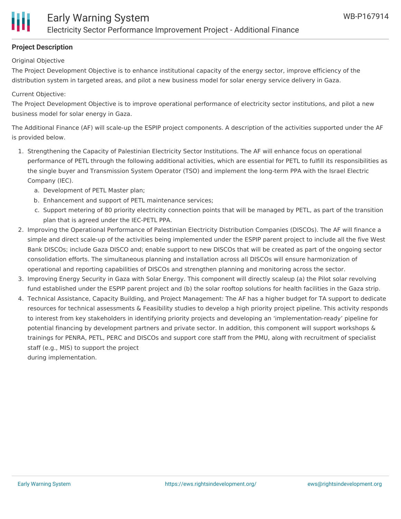#### **Project Description**

Original Objective

The Project Development Objective is to enhance institutional capacity of the energy sector, improve efficiency of the distribution system in targeted areas, and pilot a new business model for solar energy service delivery in Gaza.

#### Current Objective:

The Project Development Objective is to improve operational performance of electricity sector institutions, and pilot a new business model for solar energy in Gaza.

The Additional Finance (AF) will scale-up the ESPIP project components. A description of the activities supported under the AF is provided below.

- 1. Strengthening the Capacity of Palestinian Electricity Sector Institutions. The AF will enhance focus on operational performance of PETL through the following additional activities, which are essential for PETL to fulfill its responsibilities as the single buyer and Transmission System Operator (TSO) and implement the long-term PPA with the Israel Electric Company (IEC).
	- a. Development of PETL Master plan;
	- b. Enhancement and support of PETL maintenance services;
	- c. Support metering of 80 priority electricity connection points that will be managed by PETL, as part of the transition plan that is agreed under the IEC-PETL PPA.
- 2. Improving the Operational Performance of Palestinian Electricity Distribution Companies (DISCOs). The AF will finance a simple and direct scale-up of the activities being implemented under the ESPIP parent project to include all the five West Bank DISCOs; include Gaza DISCO and; enable support to new DISCOs that will be created as part of the ongoing sector consolidation efforts. The simultaneous planning and installation across all DISCOs will ensure harmonization of operational and reporting capabilities of DISCOs and strengthen planning and monitoring across the sector.
- 3. Improving Energy Security in Gaza with Solar Energy. This component will directly scaleup (a) the Pilot solar revolving fund established under the ESPIP parent project and (b) the solar rooftop solutions for health facilities in the Gaza strip.
- 4. Technical Assistance, Capacity Building, and Project Management: The AF has a higher budget for TA support to dedicate resources for technical assessments & Feasibility studies to develop a high priority project pipeline. This activity responds to interest from key stakeholders in identifying priority projects and developing an 'implementation-ready' pipeline for potential financing by development partners and private sector. In addition, this component will support workshops & trainings for PENRA, PETL, PERC and DISCOs and support core staff from the PMU, along with recruitment of specialist staff (e.g., MIS) to support the project

during implementation.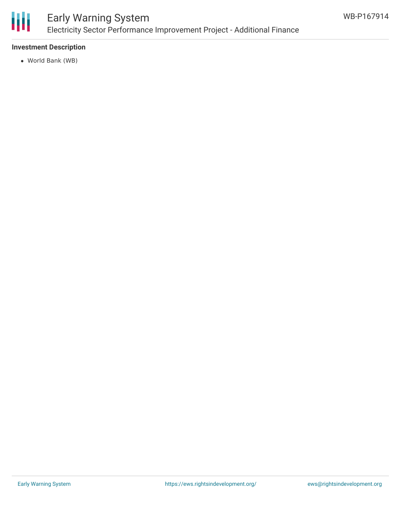

### Early Warning System Electricity Sector Performance Improvement Project - Additional Finance

#### **Investment Description**

World Bank (WB)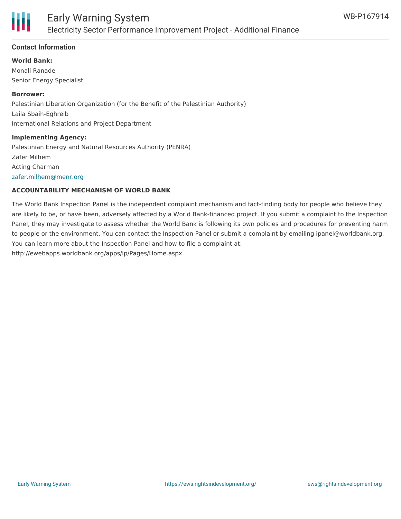

#### **Contact Information**

#### **World Bank:**

Monali Ranade Senior Energy Specialist

#### **Borrower:**

Palestinian Liberation Organization (for the Benefit of the Palestinian Authority) Laila Sbaih-Eghreib International Relations and Project Department

#### **Implementing Agency:**

Palestinian Energy and Natural Resources Authority (PENRA) Zafer Milhem Acting Charman [zafer.milhem@menr.org](mailto:zafer.milhem@menr.org)

#### **ACCOUNTABILITY MECHANISM OF WORLD BANK**

The World Bank Inspection Panel is the independent complaint mechanism and fact-finding body for people who believe they are likely to be, or have been, adversely affected by a World Bank-financed project. If you submit a complaint to the Inspection Panel, they may investigate to assess whether the World Bank is following its own policies and procedures for preventing harm to people or the environment. You can contact the Inspection Panel or submit a complaint by emailing ipanel@worldbank.org. You can learn more about the Inspection Panel and how to file a complaint at: http://ewebapps.worldbank.org/apps/ip/Pages/Home.aspx.